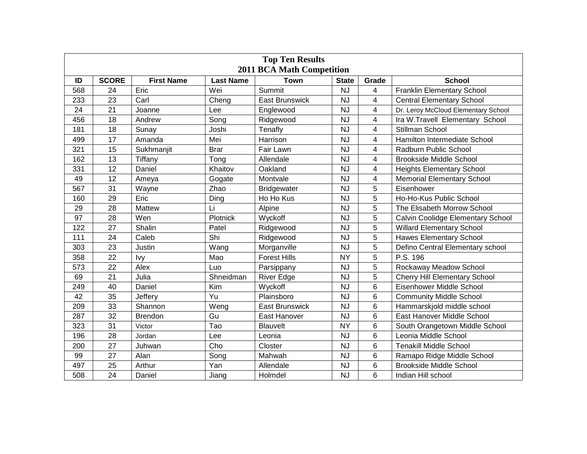| <b>Top Ten Results</b><br><b>2011 BCA Math Competition</b> |                 |                   |                  |                       |              |                         |                                      |  |  |  |  |
|------------------------------------------------------------|-----------------|-------------------|------------------|-----------------------|--------------|-------------------------|--------------------------------------|--|--|--|--|
| ID                                                         | <b>SCORE</b>    | <b>First Name</b> | <b>Last Name</b> | <b>Town</b>           | <b>State</b> | Grade                   | <b>School</b>                        |  |  |  |  |
| 568                                                        | 24              | Eric              | Wei              | Summit                | <b>NJ</b>    | 4                       | <b>Franklin Elementary School</b>    |  |  |  |  |
| 233                                                        | 23              | Carl              | Cheng            | <b>East Brunswick</b> | <b>NJ</b>    | $\overline{4}$          | <b>Central Elementary School</b>     |  |  |  |  |
| 24                                                         | 21              | Joanne            | Lee              | Englewood             | <b>NJ</b>    | 4                       | Dr. Leroy McCloud Elementary School  |  |  |  |  |
| 456                                                        | 18              | Andrew            | Song             | Ridgewood             | <b>NJ</b>    | $\overline{\mathbf{4}}$ | Ira W.Travell Elementary School      |  |  |  |  |
| 181                                                        | 18              | Sunay             | Joshi            | Tenafly               | <b>NJ</b>    | 4                       | Stillman School                      |  |  |  |  |
| 499                                                        | $\overline{17}$ | Amanda            | Mei              | Harrison              | <b>NJ</b>    | $\overline{4}$          | Hamilton Intermediate School         |  |  |  |  |
| 321                                                        | 15              | Sukhmanjit        | <b>Brar</b>      | Fair Lawn             | <b>NJ</b>    | 4                       | Radburn Public School                |  |  |  |  |
| 162                                                        | 13              | Tiffany           | Tong             | Allendale             | <b>NJ</b>    | $\overline{4}$          | <b>Brookside Middle School</b>       |  |  |  |  |
| 331                                                        | 12              | Daniel            | Khaitov          | Oakland               | <b>NJ</b>    | 4                       | <b>Heights Elementary School</b>     |  |  |  |  |
| 49                                                         | 12              | Ameya             | Gogate           | Montvale              | <b>NJ</b>    | 4                       | <b>Memorial Elementary School</b>    |  |  |  |  |
| 567                                                        | 31              | Wayne             | Zhao             | <b>Bridgewater</b>    | <b>NJ</b>    | 5                       | Eisenhower                           |  |  |  |  |
| 160                                                        | 29              | Eric              | Ding             | Ho Ho Kus             | <b>NJ</b>    | 5                       | Ho-Ho-Kus Public School              |  |  |  |  |
| 29                                                         | 28              | Mattew            | Li               | Alpine                | <b>NJ</b>    | 5                       | The Elisabeth Morrow School          |  |  |  |  |
| 97                                                         | 28              | Wen               | Plotnick         | Wyckoff               | <b>NJ</b>    | 5                       | Calvin Coolidge Elementary School    |  |  |  |  |
| 122                                                        | 27              | Shalin            | Patel            | Ridgewood             | <b>NJ</b>    | 5                       | <b>Willard Elementary School</b>     |  |  |  |  |
| 111                                                        | 24              | Caleb             | Shi              | Ridgewood             | <b>NJ</b>    | 5                       | <b>Hawes Elementary School</b>       |  |  |  |  |
| 303                                                        | 23              | Justin            | Wang             | Morganville           | <b>NJ</b>    | 5                       | Defino Central Elementary school     |  |  |  |  |
| 358                                                        | 22              | <b>Ivy</b>        | Mao              | <b>Forest Hills</b>   | <b>NY</b>    | 5                       | P.S. 196                             |  |  |  |  |
| 573                                                        | 22              | Alex              | Luo              | Parsippany            | <b>NJ</b>    | 5                       | Rockaway Meadow School               |  |  |  |  |
| 69                                                         | 21              | Julia             | Shneidman        | <b>River Edge</b>     | <b>NJ</b>    | 5                       | <b>Cherry Hill Elementary School</b> |  |  |  |  |
| 249                                                        | 40              | Daniel            | Kim              | Wyckoff               | NJ           | 6                       | Eisenhower Middle School             |  |  |  |  |
| 42                                                         | 35              | Jeffery           | Yu               | Plainsboro            | <b>NJ</b>    | 6                       | <b>Community Middle School</b>       |  |  |  |  |
| 209                                                        | 33              | Shannon           | Weng             | <b>East Brunswick</b> | <b>NJ</b>    | 6                       | Hammarskjold middle school           |  |  |  |  |
| 287                                                        | 32              | <b>Brendon</b>    | Gu               | East Hanover          | <b>NJ</b>    | 6                       | East Hanover Middle School           |  |  |  |  |
| 323                                                        | 31              | Victor            | Tao              | Blauvelt              | <b>NY</b>    | 6                       | South Orangetown Middle School       |  |  |  |  |
| 196                                                        | 28              | Jordan            | Lee              | Leonia                | <b>NJ</b>    | 6                       | Leonia Middle School                 |  |  |  |  |
| 200                                                        | 27              | Juhwan            | Cho              | Closter               | <b>NJ</b>    | 6                       | <b>Tenakill Middle School</b>        |  |  |  |  |
| 99                                                         | 27              | Alan              | Song             | Mahwah                | <b>NJ</b>    | 6                       | Ramapo Ridge Middle School           |  |  |  |  |
| 497                                                        | 25              | Arthur            | Yan              | Allendale             | <b>NJ</b>    | 6                       | <b>Brookside Middle School</b>       |  |  |  |  |
| 508                                                        | 24              | Daniel            | Jiang            | Holmdel               | <b>NJ</b>    | 6                       | Indian Hill school                   |  |  |  |  |